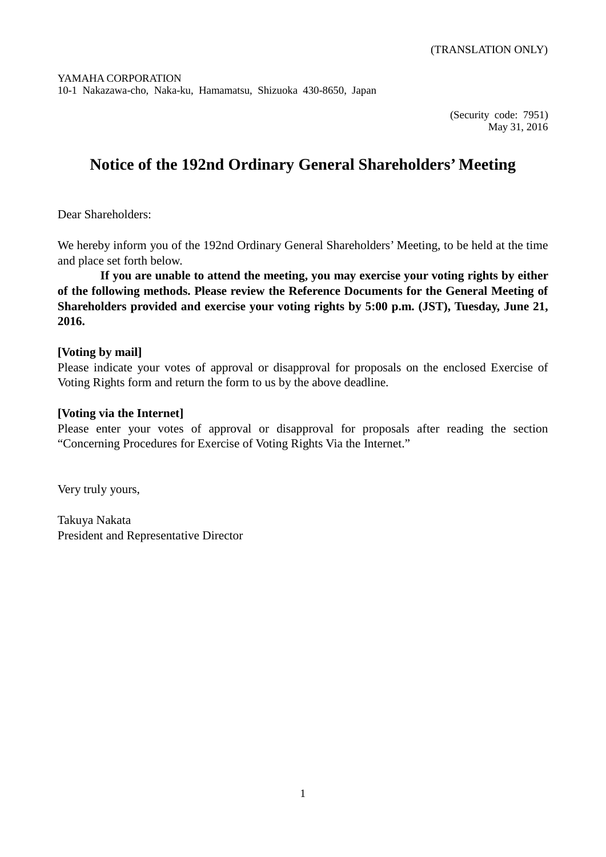(Security code: 7951) May 31, 2016

# **Notice of the 192nd Ordinary General Shareholders' Meeting**

Dear Shareholders:

We hereby inform you of the 192nd Ordinary General Shareholders' Meeting, to be held at the time and place set forth below.

**If you are unable to attend the meeting, you may exercise your voting rights by either of the following methods. Please review the Reference Documents for the General Meeting of Shareholders provided and exercise your voting rights by 5:00 p.m. (JST), Tuesday, June 21, 2016.**

## **[Voting by mail]**

Please indicate your votes of approval or disapproval for proposals on the enclosed Exercise of Voting Rights form and return the form to us by the above deadline.

## **[Voting via the Internet]**

Please enter your votes of approval or disapproval for proposals after reading the section "Concerning Procedures for Exercise of Voting Rights Via the Internet."

Very truly yours,

Takuya Nakata President and Representative Director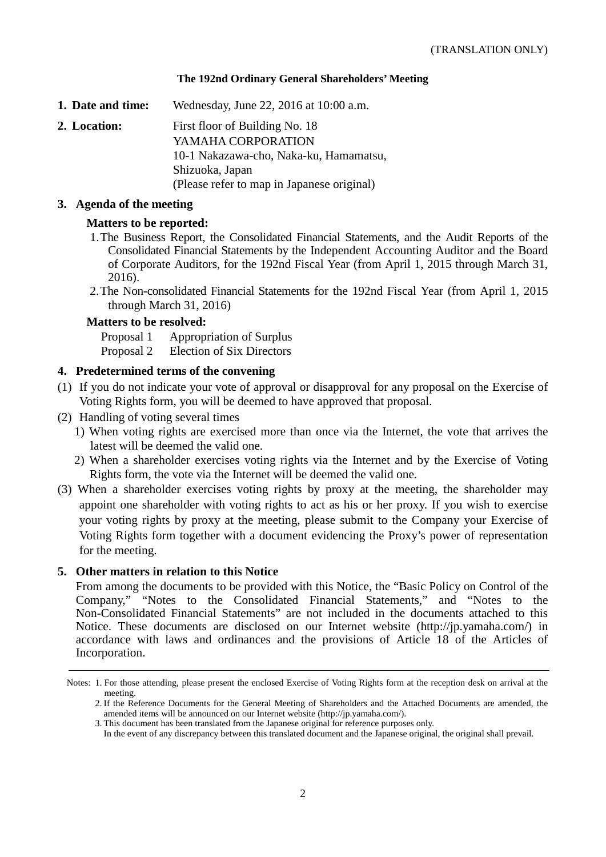### **The 192nd Ordinary General Shareholders' Meeting**

**1. Date and time:** Wednesday, June 22, 2016 at 10:00 a.m.

**2. Location:** First floor of Building No. 18 YAMAHA CORPORATION 10-1 Nakazawa-cho, Naka-ku, Hamamatsu, Shizuoka, Japan (Please refer to map in Japanese original)

### **3. Agenda of the meeting**

### **Matters to be reported:**

- 1.The Business Report, the Consolidated Financial Statements, and the Audit Reports of the Consolidated Financial Statements by the Independent Accounting Auditor and the Board of Corporate Auditors, for the 192nd Fiscal Year (from April 1, 2015 through March 31, 2016).
- 2.The Non-consolidated Financial Statements for the 192nd Fiscal Year (from April 1, 2015 through March 31, 2016)

### **Matters to be resolved:**

Proposal 1 Appropriation of Surplus Proposal 2 Election of Six Directors

### **4. Predetermined terms of the convening**

- (1) If you do not indicate your vote of approval or disapproval for any proposal on the Exercise of Voting Rights form, you will be deemed to have approved that proposal.
- (2) Handling of voting several times
	- 1) When voting rights are exercised more than once via the Internet, the vote that arrives the latest will be deemed the valid one.
	- 2) When a shareholder exercises voting rights via the Internet and by the Exercise of Voting Rights form, the vote via the Internet will be deemed the valid one.
- (3) When a shareholder exercises voting rights by proxy at the meeting, the shareholder may appoint one shareholder with voting rights to act as his or her proxy. If you wish to exercise your voting rights by proxy at the meeting, please submit to the Company your Exercise of Voting Rights form together with a document evidencing the Proxy's power of representation for the meeting.

### **5. Other matters in relation to this Notice**

From among the documents to be provided with this Notice, the "Basic Policy on Control of the Company," "Notes to the Consolidated Financial Statements," and "Notes to the Non-Consolidated Financial Statements" are not included in the documents attached to this Notice. These documents are disclosed on our Internet website (http://jp.yamaha.com/) in accordance with laws and ordinances and the provisions of Article 18 of the Articles of Incorporation.

Notes: 1. For those attending, please present the enclosed Exercise of Voting Rights form at the reception desk on arrival at the meeting.

<sup>2.</sup> If the Reference Documents for the General Meeting of Shareholders and the Attached Documents are amended, the amended items will be announced on our Internet website (http://jp.yamaha.com/).

<sup>3.</sup> This document has been translated from the Japanese original for reference purposes only.

In the event of any discrepancy between this translated document and the Japanese original, the original shall prevail.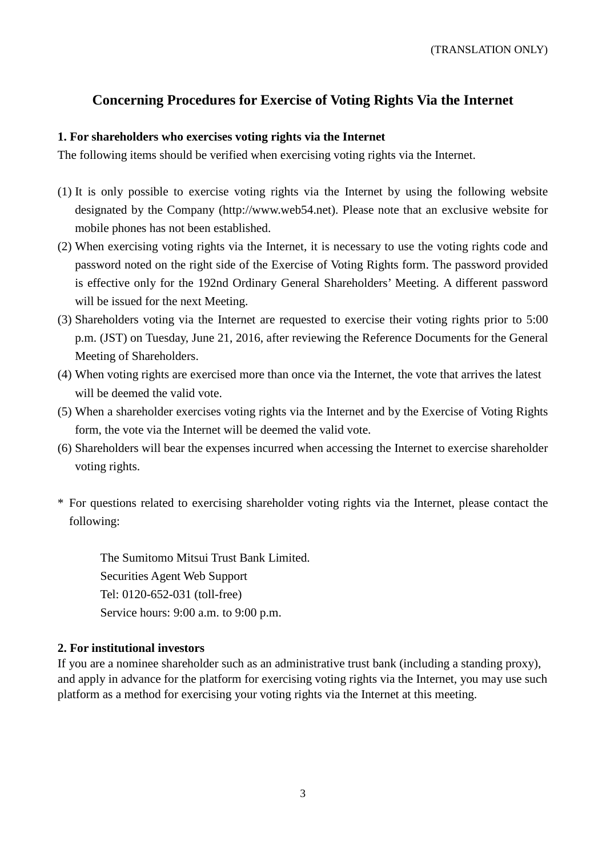# **Concerning Procedures for Exercise of Voting Rights Via the Internet**

## **1. For shareholders who exercises voting rights via the Internet**

The following items should be verified when exercising voting rights via the Internet.

- (1) It is only possible to exercise voting rights via the Internet by using the following website designated by the Company (http://www.web54.net). Please note that an exclusive website for mobile phones has not been established.
- (2) When exercising voting rights via the Internet, it is necessary to use the voting rights code and password noted on the right side of the Exercise of Voting Rights form. The password provided is effective only for the 192nd Ordinary General Shareholders' Meeting. A different password will be issued for the next Meeting.
- (3) Shareholders voting via the Internet are requested to exercise their voting rights prior to 5:00 p.m. (JST) on Tuesday, June 21, 2016, after reviewing the Reference Documents for the General Meeting of Shareholders.
- (4) When voting rights are exercised more than once via the Internet, the vote that arrives the latest will be deemed the valid vote.
- (5) When a shareholder exercises voting rights via the Internet and by the Exercise of Voting Rights form, the vote via the Internet will be deemed the valid vote.
- (6) Shareholders will bear the expenses incurred when accessing the Internet to exercise shareholder voting rights.
- \* For questions related to exercising shareholder voting rights via the Internet, please contact the following:

The Sumitomo Mitsui Trust Bank Limited. Securities Agent Web Support Tel: 0120-652-031 (toll-free) Service hours: 9:00 a.m. to 9:00 p.m.

# **2. For institutional investors**

If you are a nominee shareholder such as an administrative trust bank (including a standing proxy), and apply in advance for the platform for exercising voting rights via the Internet, you may use such platform as a method for exercising your voting rights via the Internet at this meeting.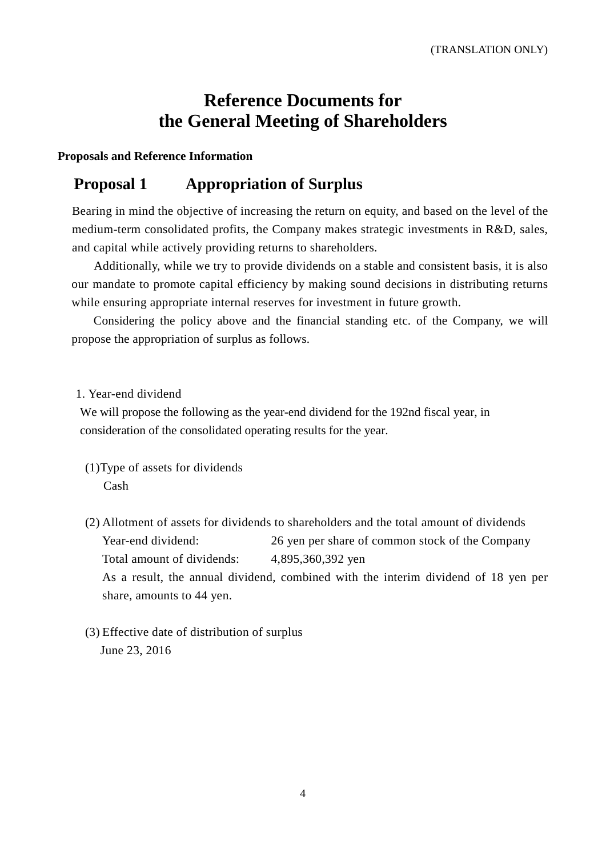# **Reference Documents for the General Meeting of Shareholders**

### **Proposals and Reference Information**

# **Proposal 1 Appropriation of Surplus**

Bearing in mind the objective of increasing the return on equity, and based on the level of the medium-term consolidated profits, the Company makes strategic investments in R&D, sales, and capital while actively providing returns to shareholders.

Additionally, while we try to provide dividends on a stable and consistent basis, it is also our mandate to promote capital efficiency by making sound decisions in distributing returns while ensuring appropriate internal reserves for investment in future growth.

Considering the policy above and the financial standing etc. of the Company, we will propose the appropriation of surplus as follows.

### 1. Year-end dividend

We will propose the following as the year-end dividend for the 192nd fiscal year, in consideration of the consolidated operating results for the year.

- (1)Type of assets for dividends Cash
- (2) Allotment of assets for dividends to shareholders and the total amount of dividends Year-end dividend: 26 yen per share of common stock of the Company Total amount of dividends: 4,895,360,392 yen As a result, the annual dividend, combined with the interim dividend of 18 yen per share, amounts to 44 yen.
- (3) Effective date of distribution of surplus June 23, 2016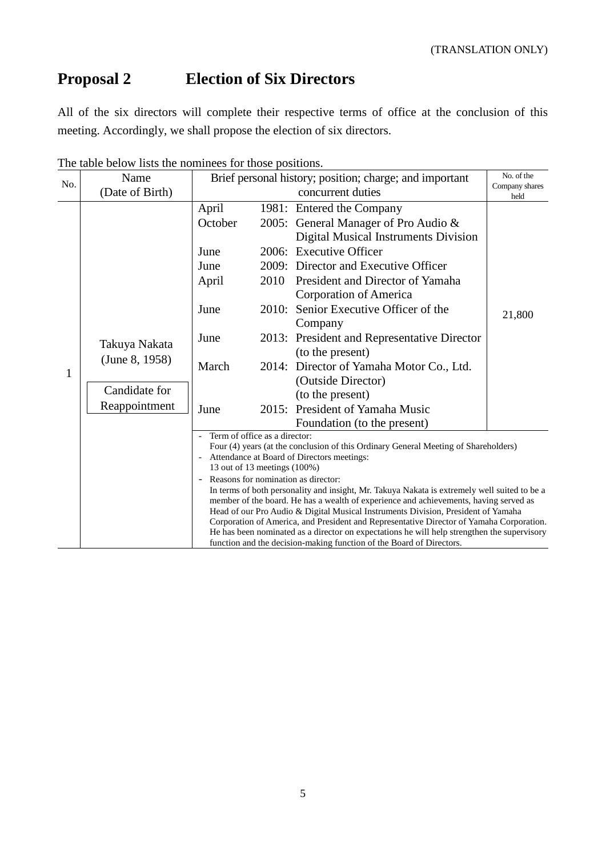# **Proposal 2 Election of Six Directors**

All of the six directors will complete their respective terms of office at the conclusion of this meeting. Accordingly, we shall propose the election of six directors.

| No.          | Name                                                              | Brief personal history; position; charge; and important                                                                                                                                                                                                                                                                                                                                                                                                                                                                                                                                                                                                                                                                                                                                                                |               |                                                                                                                                                                                                                                                                                                                                                                                                                                                                                         | No. of the             |  |
|--------------|-------------------------------------------------------------------|------------------------------------------------------------------------------------------------------------------------------------------------------------------------------------------------------------------------------------------------------------------------------------------------------------------------------------------------------------------------------------------------------------------------------------------------------------------------------------------------------------------------------------------------------------------------------------------------------------------------------------------------------------------------------------------------------------------------------------------------------------------------------------------------------------------------|---------------|-----------------------------------------------------------------------------------------------------------------------------------------------------------------------------------------------------------------------------------------------------------------------------------------------------------------------------------------------------------------------------------------------------------------------------------------------------------------------------------------|------------------------|--|
|              | (Date of Birth)                                                   |                                                                                                                                                                                                                                                                                                                                                                                                                                                                                                                                                                                                                                                                                                                                                                                                                        |               | concurrent duties                                                                                                                                                                                                                                                                                                                                                                                                                                                                       | Company shares<br>held |  |
| $\mathbf{1}$ | Takuya Nakata<br>(June 8, 1958)<br>Candidate for<br>Reappointment | April<br>October<br>June<br>June<br>April<br>June<br>June<br>March<br>June                                                                                                                                                                                                                                                                                                                                                                                                                                                                                                                                                                                                                                                                                                                                             | 2010<br>2010: | 1981: Entered the Company<br>2005: General Manager of Pro Audio $\&$<br>Digital Musical Instruments Division<br>2006: Executive Officer<br>2009: Director and Executive Officer<br>President and Director of Yamaha<br>Corporation of America<br>Senior Executive Officer of the<br>Company<br>2013: President and Representative Director<br>(to the present)<br>2014: Director of Yamaha Motor Co., Ltd.<br>(Outside Director)<br>(to the present)<br>2015: President of Yamaha Music | 21,800                 |  |
|              |                                                                   |                                                                                                                                                                                                                                                                                                                                                                                                                                                                                                                                                                                                                                                                                                                                                                                                                        |               | Foundation (to the present)                                                                                                                                                                                                                                                                                                                                                                                                                                                             |                        |  |
|              |                                                                   | Term of office as a director:<br>Four (4) years (at the conclusion of this Ordinary General Meeting of Shareholders)<br>Attendance at Board of Directors meetings:<br>13 out of 13 meetings (100%)<br>Reasons for nomination as director:<br>$\overline{\phantom{a}}$<br>In terms of both personality and insight, Mr. Takuya Nakata is extremely well suited to be a<br>member of the board. He has a wealth of experience and achievements, having served as<br>Head of our Pro Audio & Digital Musical Instruments Division, President of Yamaha<br>Corporation of America, and President and Representative Director of Yamaha Corporation.<br>He has been nominated as a director on expectations he will help strengthen the supervisory<br>function and the decision-making function of the Board of Directors. |               |                                                                                                                                                                                                                                                                                                                                                                                                                                                                                         |                        |  |

The table below lists the nominees for those positions.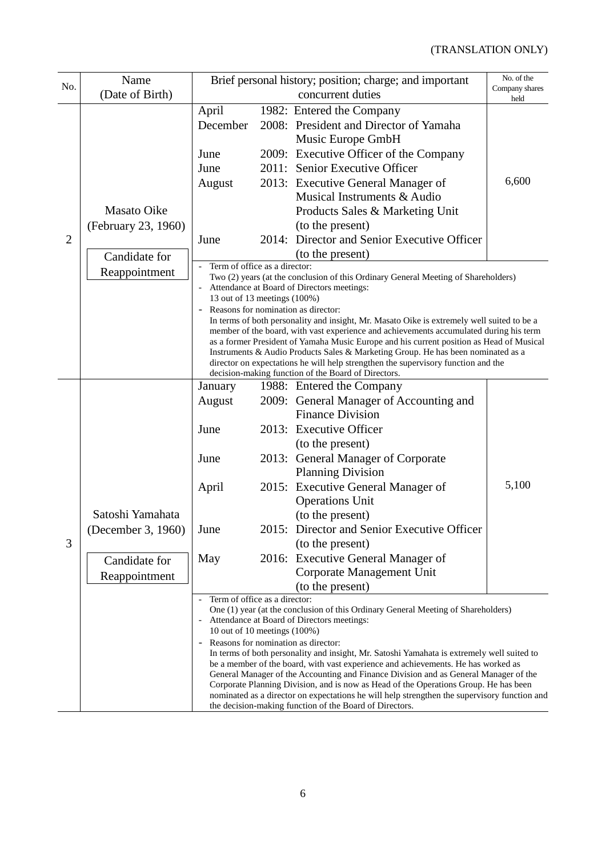|                | Name                | Brief personal history; position; charge; and important                                                                                                                              |                                                                                   |                                                                    | No. of the             |  |  |
|----------------|---------------------|--------------------------------------------------------------------------------------------------------------------------------------------------------------------------------------|-----------------------------------------------------------------------------------|--------------------------------------------------------------------|------------------------|--|--|
| No.            | (Date of Birth)     |                                                                                                                                                                                      |                                                                                   | concurrent duties                                                  | Company shares<br>held |  |  |
|                |                     | April                                                                                                                                                                                |                                                                                   | 1982: Entered the Company                                          |                        |  |  |
|                |                     | December                                                                                                                                                                             |                                                                                   | 2008: President and Director of Yamaha                             |                        |  |  |
| $\overline{2}$ |                     |                                                                                                                                                                                      |                                                                                   | Music Europe GmbH                                                  |                        |  |  |
|                |                     | June                                                                                                                                                                                 |                                                                                   | 2009: Executive Officer of the Company                             |                        |  |  |
|                |                     | June                                                                                                                                                                                 |                                                                                   | 2011: Senior Executive Officer                                     |                        |  |  |
|                |                     | August                                                                                                                                                                               |                                                                                   | 2013: Executive General Manager of                                 | 6,600                  |  |  |
|                |                     |                                                                                                                                                                                      |                                                                                   | Musical Instruments & Audio                                        |                        |  |  |
|                | <b>Masato Oike</b>  |                                                                                                                                                                                      |                                                                                   | Products Sales & Marketing Unit                                    |                        |  |  |
|                | (February 23, 1960) |                                                                                                                                                                                      |                                                                                   | (to the present)                                                   |                        |  |  |
|                |                     | June                                                                                                                                                                                 |                                                                                   | 2014: Director and Senior Executive Officer                        |                        |  |  |
|                | Candidate for       |                                                                                                                                                                                      |                                                                                   | (to the present)                                                   |                        |  |  |
|                | Reappointment       | Term of office as a director:<br>Two (2) years (at the conclusion of this Ordinary General Meeting of Shareholders)                                                                  |                                                                                   |                                                                    |                        |  |  |
|                |                     | Attendance at Board of Directors meetings:                                                                                                                                           |                                                                                   |                                                                    |                        |  |  |
|                |                     | 13 out of 13 meetings (100%)                                                                                                                                                         |                                                                                   |                                                                    |                        |  |  |
|                |                     | Reasons for nomination as director:<br>In terms of both personality and insight, Mr. Masato Oike is extremely well suited to be a                                                    |                                                                                   |                                                                    |                        |  |  |
|                |                     | member of the board, with vast experience and achievements accumulated during his term                                                                                               |                                                                                   |                                                                    |                        |  |  |
|                |                     | as a former President of Yamaha Music Europe and his current position as Head of Musical<br>Instruments & Audio Products Sales & Marketing Group. He has been nominated as a         |                                                                                   |                                                                    |                        |  |  |
|                |                     | director on expectations he will help strengthen the supervisory function and the                                                                                                    |                                                                                   |                                                                    |                        |  |  |
|                |                     |                                                                                                                                                                                      |                                                                                   | decision-making function of the Board of Directors.                |                        |  |  |
|                |                     | January                                                                                                                                                                              |                                                                                   | 1988: Entered the Company                                          |                        |  |  |
|                |                     | August                                                                                                                                                                               |                                                                                   | 2009: General Manager of Accounting and<br><b>Finance Division</b> |                        |  |  |
|                |                     | June                                                                                                                                                                                 |                                                                                   | 2013: Executive Officer                                            |                        |  |  |
|                |                     |                                                                                                                                                                                      |                                                                                   |                                                                    |                        |  |  |
|                |                     | June                                                                                                                                                                                 |                                                                                   | (to the present)<br>2013: General Manager of Corporate             |                        |  |  |
|                |                     |                                                                                                                                                                                      |                                                                                   | <b>Planning Division</b>                                           |                        |  |  |
|                |                     | April                                                                                                                                                                                |                                                                                   | 2015: Executive General Manager of                                 | 5,100                  |  |  |
|                |                     |                                                                                                                                                                                      |                                                                                   | <b>Operations Unit</b>                                             |                        |  |  |
|                | Satoshi Yamahata    |                                                                                                                                                                                      |                                                                                   | (to the present)                                                   |                        |  |  |
|                | (December 3, 1960)  | June                                                                                                                                                                                 |                                                                                   | 2015: Director and Senior Executive Officer                        |                        |  |  |
| 3              |                     |                                                                                                                                                                                      |                                                                                   | (to the present)                                                   |                        |  |  |
|                | Candidate for       | May                                                                                                                                                                                  |                                                                                   | 2016: Executive General Manager of                                 |                        |  |  |
|                | Reappointment       |                                                                                                                                                                                      |                                                                                   | Corporate Management Unit                                          |                        |  |  |
|                |                     |                                                                                                                                                                                      |                                                                                   | (to the present)                                                   |                        |  |  |
|                |                     | Term of office as a director:                                                                                                                                                        |                                                                                   |                                                                    |                        |  |  |
|                |                     | One (1) year (at the conclusion of this Ordinary General Meeting of Shareholders)<br>Attendance at Board of Directors meetings:                                                      |                                                                                   |                                                                    |                        |  |  |
|                |                     | 10 out of 10 meetings (100%)                                                                                                                                                         |                                                                                   |                                                                    |                        |  |  |
|                |                     | Reasons for nomination as director:<br>In terms of both personality and insight, Mr. Satoshi Yamahata is extremely well suited to                                                    |                                                                                   |                                                                    |                        |  |  |
|                |                     |                                                                                                                                                                                      | be a member of the board, with vast experience and achievements. He has worked as |                                                                    |                        |  |  |
|                |                     | General Manager of the Accounting and Finance Division and as General Manager of the                                                                                                 |                                                                                   |                                                                    |                        |  |  |
|                |                     | Corporate Planning Division, and is now as Head of the Operations Group. He has been<br>nominated as a director on expectations he will help strengthen the supervisory function and |                                                                                   |                                                                    |                        |  |  |
|                |                     | the decision-making function of the Board of Directors.                                                                                                                              |                                                                                   |                                                                    |                        |  |  |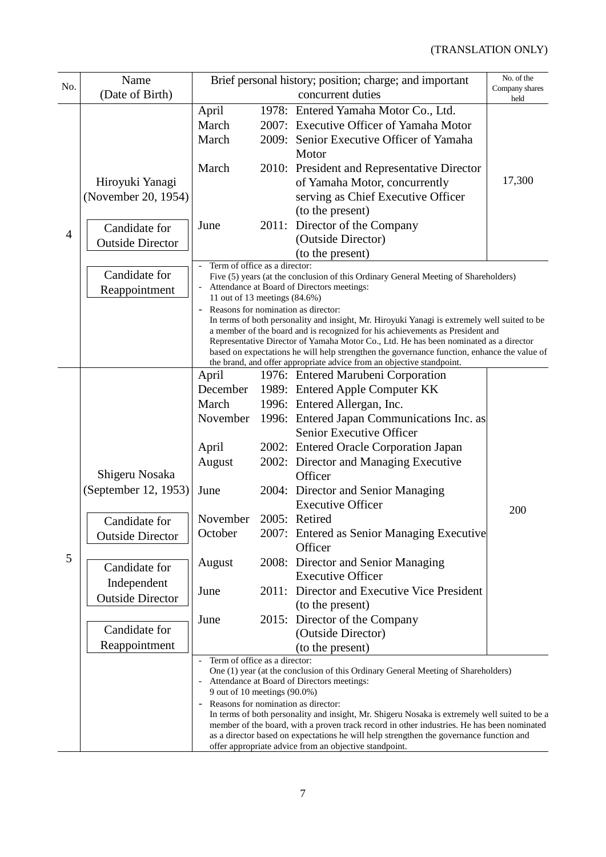# (TRANSLATION ONLY)

|     | Name                    | Brief personal history; position; charge; and important                                                                                                                               |  |                                                                       | No. of the             |  |
|-----|-------------------------|---------------------------------------------------------------------------------------------------------------------------------------------------------------------------------------|--|-----------------------------------------------------------------------|------------------------|--|
| No. | (Date of Birth)         |                                                                                                                                                                                       |  | concurrent duties                                                     | Company shares<br>held |  |
|     |                         | April                                                                                                                                                                                 |  | 1978: Entered Yamaha Motor Co., Ltd.                                  |                        |  |
|     |                         | March                                                                                                                                                                                 |  | 2007: Executive Officer of Yamaha Motor                               |                        |  |
|     |                         | March                                                                                                                                                                                 |  | 2009: Senior Executive Officer of Yamaha                              |                        |  |
|     |                         |                                                                                                                                                                                       |  | Motor                                                                 |                        |  |
|     |                         | March                                                                                                                                                                                 |  | 2010: President and Representative Director                           |                        |  |
|     | Hiroyuki Yanagi         |                                                                                                                                                                                       |  | of Yamaha Motor, concurrently                                         | 17,300                 |  |
|     | (November 20, 1954)     |                                                                                                                                                                                       |  | serving as Chief Executive Officer                                    |                        |  |
|     |                         |                                                                                                                                                                                       |  | (to the present)                                                      |                        |  |
|     | Candidate for           | June                                                                                                                                                                                  |  | 2011: Director of the Company                                         |                        |  |
| 4   | <b>Outside Director</b> |                                                                                                                                                                                       |  | (Outside Director)                                                    |                        |  |
|     |                         |                                                                                                                                                                                       |  | (to the present)                                                      |                        |  |
|     | Candidate for           | Term of office as a director:<br>Five (5) years (at the conclusion of this Ordinary General Meeting of Shareholders)                                                                  |  |                                                                       |                        |  |
|     | Reappointment           | Attendance at Board of Directors meetings:                                                                                                                                            |  |                                                                       |                        |  |
|     |                         | 11 out of 13 meetings (84.6%)                                                                                                                                                         |  |                                                                       |                        |  |
|     |                         | Reasons for nomination as director:<br>$\overline{\phantom{a}}$<br>In terms of both personality and insight, Mr. Hiroyuki Yanagi is extremely well suited to be                       |  |                                                                       |                        |  |
|     |                         | a member of the board and is recognized for his achievements as President and                                                                                                         |  |                                                                       |                        |  |
|     |                         | Representative Director of Yamaha Motor Co., Ltd. He has been nominated as a director<br>based on expectations he will help strengthen the governance function, enhance the value of  |  |                                                                       |                        |  |
|     |                         |                                                                                                                                                                                       |  | the brand, and offer appropriate advice from an objective standpoint. |                        |  |
|     |                         | April                                                                                                                                                                                 |  | 1976: Entered Marubeni Corporation                                    |                        |  |
|     |                         | December                                                                                                                                                                              |  | 1989: Entered Apple Computer KK                                       |                        |  |
|     |                         | March                                                                                                                                                                                 |  | 1996: Entered Allergan, Inc.                                          |                        |  |
|     |                         | November                                                                                                                                                                              |  | 1996: Entered Japan Communications Inc. as                            |                        |  |
|     |                         |                                                                                                                                                                                       |  | Senior Executive Officer                                              |                        |  |
|     |                         | April                                                                                                                                                                                 |  | 2002: Entered Oracle Corporation Japan                                |                        |  |
|     |                         | August                                                                                                                                                                                |  | 2002: Director and Managing Executive                                 |                        |  |
|     | Shigeru Nosaka          |                                                                                                                                                                                       |  | Officer                                                               |                        |  |
|     | (September 12, 1953)    | June                                                                                                                                                                                  |  | 2004: Director and Senior Managing                                    |                        |  |
|     |                         |                                                                                                                                                                                       |  | <b>Executive Officer</b>                                              | 200                    |  |
|     | Candidate for           | November                                                                                                                                                                              |  | 2005: Retired                                                         |                        |  |
|     | <b>Outside Director</b> | October                                                                                                                                                                               |  | 2007: Entered as Senior Managing Executive                            |                        |  |
| 5   |                         |                                                                                                                                                                                       |  | Officer                                                               |                        |  |
|     | Candidate for           | August                                                                                                                                                                                |  | 2008: Director and Senior Managing<br><b>Executive Officer</b>        |                        |  |
|     | Independent             |                                                                                                                                                                                       |  | 2011: Director and Executive Vice President                           |                        |  |
|     | <b>Outside Director</b> | June                                                                                                                                                                                  |  | (to the present)                                                      |                        |  |
|     |                         | June                                                                                                                                                                                  |  | 2015: Director of the Company                                         |                        |  |
|     | Candidate for           |                                                                                                                                                                                       |  | (Outside Director)                                                    |                        |  |
|     | Reappointment           |                                                                                                                                                                                       |  | (to the present)                                                      |                        |  |
|     |                         | Term of office as a director:<br>$\overline{\phantom{m}}$                                                                                                                             |  |                                                                       |                        |  |
|     |                         | One (1) year (at the conclusion of this Ordinary General Meeting of Shareholders)                                                                                                     |  |                                                                       |                        |  |
|     |                         | Attendance at Board of Directors meetings:<br>$\qquad \qquad -$<br>9 out of 10 meetings (90.0%)                                                                                       |  |                                                                       |                        |  |
|     |                         | Reasons for nomination as director:                                                                                                                                                   |  |                                                                       |                        |  |
|     |                         | In terms of both personality and insight, Mr. Shigeru Nosaka is extremely well suited to be a                                                                                         |  |                                                                       |                        |  |
|     |                         | member of the board, with a proven track record in other industries. He has been nominated<br>as a director based on expectations he will help strengthen the governance function and |  |                                                                       |                        |  |
|     |                         | offer appropriate advice from an objective standpoint.                                                                                                                                |  |                                                                       |                        |  |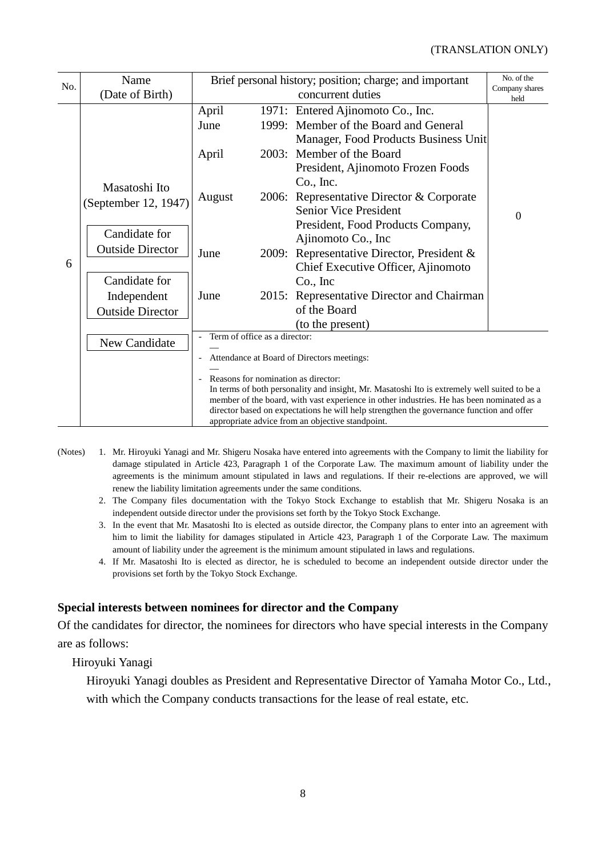| Name                    | Brief personal history; position; charge; and important                                                                                                                                                                                                                                                                                                                         |  |                                      | No. of the                                                                                                                                                                                                                                                                                                                                                                                                                                |  |  |
|-------------------------|---------------------------------------------------------------------------------------------------------------------------------------------------------------------------------------------------------------------------------------------------------------------------------------------------------------------------------------------------------------------------------|--|--------------------------------------|-------------------------------------------------------------------------------------------------------------------------------------------------------------------------------------------------------------------------------------------------------------------------------------------------------------------------------------------------------------------------------------------------------------------------------------------|--|--|
| (Date of Birth)         |                                                                                                                                                                                                                                                                                                                                                                                 |  | concurrent duties                    | Company shares<br>held                                                                                                                                                                                                                                                                                                                                                                                                                    |  |  |
|                         | April                                                                                                                                                                                                                                                                                                                                                                           |  |                                      |                                                                                                                                                                                                                                                                                                                                                                                                                                           |  |  |
|                         | June                                                                                                                                                                                                                                                                                                                                                                            |  |                                      |                                                                                                                                                                                                                                                                                                                                                                                                                                           |  |  |
|                         |                                                                                                                                                                                                                                                                                                                                                                                 |  | Manager, Food Products Business Unit |                                                                                                                                                                                                                                                                                                                                                                                                                                           |  |  |
|                         | April                                                                                                                                                                                                                                                                                                                                                                           |  |                                      |                                                                                                                                                                                                                                                                                                                                                                                                                                           |  |  |
|                         |                                                                                                                                                                                                                                                                                                                                                                                 |  | President, Ajinomoto Frozen Foods    |                                                                                                                                                                                                                                                                                                                                                                                                                                           |  |  |
|                         |                                                                                                                                                                                                                                                                                                                                                                                 |  | Co., Inc.                            |                                                                                                                                                                                                                                                                                                                                                                                                                                           |  |  |
| (September 12, 1947)    | August                                                                                                                                                                                                                                                                                                                                                                          |  |                                      |                                                                                                                                                                                                                                                                                                                                                                                                                                           |  |  |
|                         |                                                                                                                                                                                                                                                                                                                                                                                 |  | $\overline{0}$                       |                                                                                                                                                                                                                                                                                                                                                                                                                                           |  |  |
|                         | June                                                                                                                                                                                                                                                                                                                                                                            |  |                                      |                                                                                                                                                                                                                                                                                                                                                                                                                                           |  |  |
|                         |                                                                                                                                                                                                                                                                                                                                                                                 |  |                                      |                                                                                                                                                                                                                                                                                                                                                                                                                                           |  |  |
|                         |                                                                                                                                                                                                                                                                                                                                                                                 |  |                                      |                                                                                                                                                                                                                                                                                                                                                                                                                                           |  |  |
|                         |                                                                                                                                                                                                                                                                                                                                                                                 |  | Chief Executive Officer, Ajinomoto   |                                                                                                                                                                                                                                                                                                                                                                                                                                           |  |  |
|                         |                                                                                                                                                                                                                                                                                                                                                                                 |  | $Co.$ Inc                            |                                                                                                                                                                                                                                                                                                                                                                                                                                           |  |  |
| Independent             | June                                                                                                                                                                                                                                                                                                                                                                            |  |                                      |                                                                                                                                                                                                                                                                                                                                                                                                                                           |  |  |
| <b>Outside Director</b> |                                                                                                                                                                                                                                                                                                                                                                                 |  |                                      |                                                                                                                                                                                                                                                                                                                                                                                                                                           |  |  |
|                         |                                                                                                                                                                                                                                                                                                                                                                                 |  | (to the present)                     |                                                                                                                                                                                                                                                                                                                                                                                                                                           |  |  |
| New Candidate           | Attendance at Board of Directors meetings:<br>-<br>Reasons for nomination as director:<br>In terms of both personality and insight, Mr. Masatoshi Ito is extremely well suited to be a<br>member of the board, with vast experience in other industries. He has been nominated as a<br>director based on expectations he will help strengthen the governance function and offer |  |                                      |                                                                                                                                                                                                                                                                                                                                                                                                                                           |  |  |
|                         |                                                                                                                                                                                                                                                                                                                                                                                 |  |                                      |                                                                                                                                                                                                                                                                                                                                                                                                                                           |  |  |
|                         |                                                                                                                                                                                                                                                                                                                                                                                 |  |                                      |                                                                                                                                                                                                                                                                                                                                                                                                                                           |  |  |
|                         |                                                                                                                                                                                                                                                                                                                                                                                 |  |                                      |                                                                                                                                                                                                                                                                                                                                                                                                                                           |  |  |
|                         |                                                                                                                                                                                                                                                                                                                                                                                 |  |                                      |                                                                                                                                                                                                                                                                                                                                                                                                                                           |  |  |
|                         |                                                                                                                                                                                                                                                                                                                                                                                 |  |                                      |                                                                                                                                                                                                                                                                                                                                                                                                                                           |  |  |
|                         | Masatoshi Ito<br>Candidate for<br><b>Outside Director</b><br>Candidate for                                                                                                                                                                                                                                                                                                      |  |                                      | 1971: Entered Ajinomoto Co., Inc.<br>1999: Member of the Board and General<br>2003: Member of the Board<br>2006: Representative Director & Corporate<br>Senior Vice President<br>President, Food Products Company,<br>Ajinomoto Co., Inc<br>2009: Representative Director, President &<br>2015: Representative Director and Chairman<br>of the Board<br>Term of office as a director:<br>appropriate advice from an objective standpoint. |  |  |

- (Notes) 1. Mr. Hiroyuki Yanagi and Mr. Shigeru Nosaka have entered into agreements with the Company to limit the liability for damage stipulated in Article 423, Paragraph 1 of the Corporate Law. The maximum amount of liability under the agreements is the minimum amount stipulated in laws and regulations. If their re-elections are approved, we will renew the liability limitation agreements under the same conditions.
	- 2. The Company files documentation with the Tokyo Stock Exchange to establish that Mr. Shigeru Nosaka is an independent outside director under the provisions set forth by the Tokyo Stock Exchange.
	- 3. In the event that Mr. Masatoshi Ito is elected as outside director, the Company plans to enter into an agreement with him to limit the liability for damages stipulated in Article 423, Paragraph 1 of the Corporate Law. The maximum amount of liability under the agreement is the minimum amount stipulated in laws and regulations.
	- 4. If Mr. Masatoshi Ito is elected as director, he is scheduled to become an independent outside director under the provisions set forth by the Tokyo Stock Exchange.

# **Special interests between nominees for director and the Company**

Of the candidates for director, the nominees for directors who have special interests in the Company are as follows:

Hiroyuki Yanagi

Hiroyuki Yanagi doubles as President and Representative Director of Yamaha Motor Co., Ltd., with which the Company conducts transactions for the lease of real estate, etc.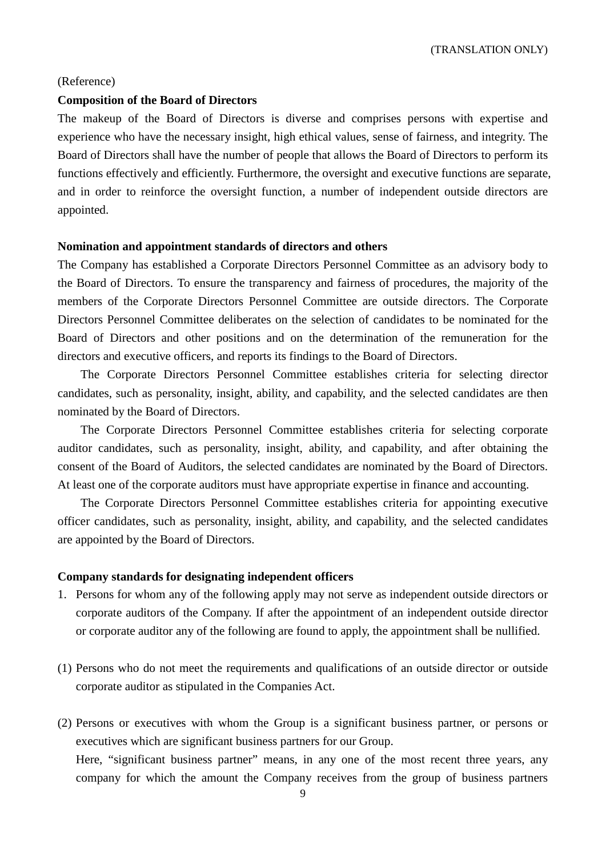(TRANSLATION ONLY)

#### (Reference)

### **Composition of the Board of Directors**

The makeup of the Board of Directors is diverse and comprises persons with expertise and experience who have the necessary insight, high ethical values, sense of fairness, and integrity. The Board of Directors shall have the number of people that allows the Board of Directors to perform its functions effectively and efficiently. Furthermore, the oversight and executive functions are separate, and in order to reinforce the oversight function, a number of independent outside directors are appointed.

### **Nomination and appointment standards of directors and others**

The Company has established a Corporate Directors Personnel Committee as an advisory body to the Board of Directors. To ensure the transparency and fairness of procedures, the majority of the members of the Corporate Directors Personnel Committee are outside directors. The Corporate Directors Personnel Committee deliberates on the selection of candidates to be nominated for the Board of Directors and other positions and on the determination of the remuneration for the directors and executive officers, and reports its findings to the Board of Directors.

The Corporate Directors Personnel Committee establishes criteria for selecting director candidates, such as personality, insight, ability, and capability, and the selected candidates are then nominated by the Board of Directors.

The Corporate Directors Personnel Committee establishes criteria for selecting corporate auditor candidates, such as personality, insight, ability, and capability, and after obtaining the consent of the Board of Auditors, the selected candidates are nominated by the Board of Directors. At least one of the corporate auditors must have appropriate expertise in finance and accounting.

The Corporate Directors Personnel Committee establishes criteria for appointing executive officer candidates, such as personality, insight, ability, and capability, and the selected candidates are appointed by the Board of Directors.

#### **Company standards for designating independent officers**

- 1. Persons for whom any of the following apply may not serve as independent outside directors or corporate auditors of the Company. If after the appointment of an independent outside director or corporate auditor any of the following are found to apply, the appointment shall be nullified.
- (1) Persons who do not meet the requirements and qualifications of an outside director or outside corporate auditor as stipulated in the Companies Act.
- (2) Persons or executives with whom the Group is a significant business partner, or persons or executives which are significant business partners for our Group. Here, "significant business partner" means, in any one of the most recent three years, any company for which the amount the Company receives from the group of business partners